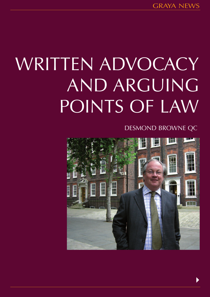# WRITTEN ADVOCACY AND ARGUING POINTS OF LAW

DESMOND BROWNE QC

 $\blacktriangleright$ 

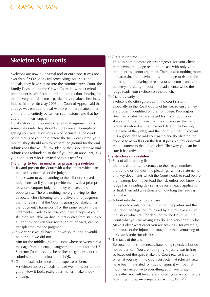# **Skeleton Arguments**

Skeletons are now a universal tool of our trade. It was not ever thus: first used in civil proceedings for trials and appeals, they have spread into the Administrative Court, the Family Division and the Crown Court. Now no criminal practitioner is safe from an order at a directions hearing for the delivery of a skeleton – particularly on abuse hearings. Indeed, in  $R \text{ } v \text{ }$  Kin May 2006 the Court of Appeal said that a judge was entitled to deal with preliminary matters in a criminal trial entirely by written submissions, and that he could limit their length.

Do skeletons toll the death knell of oral argument, as is sometimes said? They shouldn't; they are an example of getting your retaliation in first – of persuading the court of the merits of your case before the first words leave your mouth. They should aim to prepare the ground for the oral submissions that will follow. Ideally, they should make oral submissions redundant, so that if you are an appellant, it is your opponent who is invited onto his feet first.

## **The things to bear in mind when preparing a skeleton**

(1) Try and present the Court with a document which can be used as the basis of the judgment.

Judges want to avoid adding to their list of reserved judgments, so if you can provide them with a prompt for an ex tempore judgment, they will seize the opportunity. There is nothing more gratifying for the advocate when listening to the delivery of a judgment than to realise that the Court is using your skeleton as the judgment's framework. For the same reason, if the judgment is likely to be reserved, have a copy of your skeleton available on disc so that quotes from statutes or authorities, or even your recitation of the facts, can be transplanted into the judgment.

(2) Style varies: we all have our own styles, and it would be boring if we did not.

Aim for the middle ground – somewhere between a text message from a teenage daughter and a brief for the US Supreme Court. It should be neither telegraphese, nor a submission to the editor of the LQR.

(3) Do not exalt substance at the expense of form. A skeleton not only needs to read well, it needs to look good. How it looks really does matter: make it look enticing.

## 4) Get it in on time.

There is nothing more disadvantageous for your client than having the judge read into a case with only your opponent's skeleton argument. There is also nothing more embarrassing than having to ask the judge to rise on the morning of the hearing to read your skeleton – unless it be everyone sitting in court in dead silence while the judge reads your skeleton on the bench.

## (5) Mark it clearly.

Skeletons do often go astray in the court system, especially in the Royal Courts of Justice: so ensure they are properly identified on the front page. Paddington Bear had a label in case he got lost. So should your skeleton. It should have: the title of the case; the party whose skeleton it is; the time and date of the hearing; the name of the judge; and the court number (if known). It is a good idea to add your name and the date on the front page as well as on the last. If possible, fax or e-mail the document to the judge's clerk. That way you can be sure it has arrived on time.

# **The structure of a skeleton**

(1) First of all a reading list

Identify, with cross-references to their page numbers in the bundle or bundles, the pleadings, witness statements and key documents which the Court needs to read before the hearing. Don't over load the list, unless you know the judge has a reading day set aside for a heavy application or trial. Then add an estimate of how long the reading will take.

(2) A brief introduction to the case

This should contain a description of the parties and the nature of the litigation, followed by a bird's eye view of the issues which fall for decision by the Court. Tell the Court what you are asking it to do, and very shortly why. Make it clear what order you are seeking – for example, the nature of the injunction sought, or the overturning of a Master's order for disclosure.

(3) The facts of the case

Be succinct: this may necessitate being selective, but do not be partisan. You are not trying to justify war in Iraq – so leave out the spin. Make the Court realise it can rely on what you say. If the Court suspects that relevant facts have been mis-stated, omitted or spun, it will be that much less receptive to everything you have to say thereafter. You will be able to shorten your account of the facts, if you prepare a separate cast list (dramatis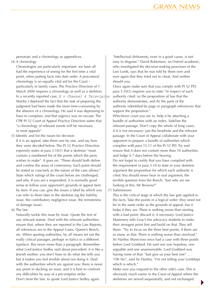personae) and a chronology as appendices.

# (4) A chronology

Chronologies are particularly important: we have all had the experience of seeing for the first time a vital point, when putting facts into date order. A procedural chronology is an equally vital aid for the Court – particularly in family cases. The Practice Direction of 1 March 2000 requires a chronology as well as a skeleton. In a recently reported case,  $E$  v Channel 4 Television Munby J deplored the fact that the task of preparing the judgment had been made the more time-consuming by the absence of a chronology. He said it was depressing to have to complain, and that urgency was no excuse. The CPR Pt 52 Court of Appeal Practice Direction states that "a chronology of relevant events will be necessary in most appeals".

(5) Identify and list the issues for decision

If it is an appeal, take them one by one, and say how they were decided below. The Pt 52 Practice Direction expressly states at para 5.10(1) that a skeleton "must contain a numbered list of the points which the party wishes to make". It goes on: "These should both define and confine the areas of controversy. Each point should be stated as concisely as the nature of the case allows." State which rulings of the court below are challenged, and why. If you are a respondent, it is normally good sense to follow your opponent's grounds of appeal item by item. If you can, give the issues a label by which you can refer to them later in the skeleton (eg the liability issue, the contributory negligence issue, the remoteness of damage issue).

(6) The law

Naturally tackle this issue by issue. Quote the text of any relevant statute. Deal with the relevant authorities: ensure that, where they are reported in the Law Reports, all references are to the Appeal Cases, Queen's Bench, etc. When quoting authorities, by all means set out the really critical passages, perhaps in italics or a different typeface. But never more than a paragraph. Remember what Lord Justice Sedley said about precedent: it is like a Jewish mother; you don't have to do what she tells you but it makes you feel terrible about not doing it. Deal with the authorities which are against you: there is never any point in ducking an issue; and it is best to confront any difficulties by way of a pre-emptive strike. Don't twist the law; to quote Lord Justice Sedley again:

"Intellectual dishonesty, even in a good cause, is not easy to disguise." David Robertson, an Oxford academic, who investigated the decision-making processes of the Law Lords, says that he was told by them over and over again that they tried not to cheat. And neither should you.

Once again make sure that you comply with Pt 52 PD; para 5.10(3) requires you to state "in respect of each authority cited: (a) the proposition of law that the authority demonstrates, and (b) the parts of the authority (identified by page or paragraph references) that support the proposition."

Whichever court you are in, help it by attaching a bundle of authorities with an index. Sideline the relevant passage. Don't copy the whole of long cases, if it is not necessary: just the headnote and the relevant passage. In the Court of Appeal collaborate with your opponent to prepare a bundle of authorities which complies with para 15.11 of the Pt 52 PD. Try and ensure that it does not contain more than 10 authorities, and lodge it 7 days before the hearing. Do not forget to certify that you have complied with the requirement in para 5.10 to state in your skeleton argument the proposition for which each authority is cited. You should never hear in oral argument, the terrible question from the Bench: "Just why are we

looking at this, Mr Browne?" (7) Submissions

This is the critical stage at which the law gets applied to the facts. Take the points in a logical order: they need not be in the same order as the grounds of appeal, but it helps if they are. There is nothing worse than starting with a bad point: discard it, if necessary. Lord Justice Mummery tells Gray's Inn advocacy students to make their strongest point first and build on that. They tell them: "Try to focus on the three best points, if there are as many as that. There is nothing worse than overload." Sir Hartley Shawcross once had a case with three points before Lord Goddard. He said one was hopeless, one arguable and one unanswerable. Lord Goddard was having none of that: "Just give us your best one" . . . "Oh No", said Sir Hartley, "I'm not telling your Lordships which is which."

Make sure you respond to the other side's case. This is obviously much easier in the Court of Appeal where the skeletons are served sequentially, and not exchanged.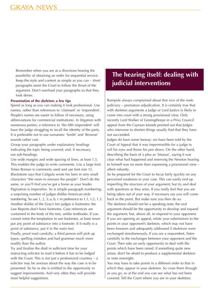Remember when you are at a directions hearing the possibility of obtaining an order for sequential service. Keep the style and content as simple as you can – short paragraphs assist the Court to follow the thrust of the argument. Don't overload your paragraphs so that they look dense.

#### **Presentation of the skeleton: a few tips**

Spend as long as you can making it look professional. Use names, rather than references to 'claimant' or 'respondent'. People's names are easier to follow (if necessary, using abbreviations for commercial institutions). In litigation with numerous parties, a reference to 'the fifth respondent' will have the judge struggling to recall the identity of the party. It is preferable not to use surnames: 'Smith' and 'Browne' sounds rather curt.

Group your paragraphs under explanatory headings indicating the topic being covered; and, if necessary, use sub-headings.

Use wide margins and wide spacing of lines, at least 1.5. This enables the judge to write comments. Use a large font: Times Roman is commonly used and use font size 12. Blackstone says that Caligula wrote his laws in very small characters "the more to ensnare the people". Don't do the same, or you'll find you've got a horse as your leader. Pagination is imperative. So is simple paragraph numbering: a surprising number of judges dislike American-style numbering. So use 1, 2, 3; a, b, c in preference to 1.1, 1.2, 1.3. Another dislike of the Gray's Inn judges is footnotes: the Law Reports don't have footnotes. Case references are contained in the body of the text, unlike textbooks. If you cannot resist the temptation to use footnotes, at least never put any point of substance into a footnote. If it really is a point of substance, put it in the main text.

Finally, proof read carefully; a third person will pick up typos, spelling mistakes and bad grammar much more readily than the author.

Try and finalise the draft in sufficient time for your instructing solicitor to read it before it has to be lodged with the Court. This is not just a professional courtesy  $- a$ solicitor may be anxious about the way the case is to be presented. So he or she is entitled to the opportunity to suggest improvements. And very often they will provide most helpful suggestions.

# **The hearing itself: dealing with judicial interventions**

Rumpole always complained about that vice of the male judiciary – premature adjudication. It is certainly true that with skeleton arguments a Judge or Lord Justice is likely to come into court with a strong provisional view. Only recently Lord Walker of Gestingthorpe in a Privy Council appeal from the Cayman Islands pointed out that Judges who intervene to shorten things usually find that they have not succeeded.

Judges do have some leeway: we have been told by the Court of Appeal that it was impermissible for a judge to roll his eyes and throw his pen down. On the other hand, describing the basis of a plea as 'fatuous', saying it was clear what had happened and reserving the Newton hearing to himself was no more than expressing a provisional view – albeit robustly.

So be prepared for the Court to focus fairly quickly on any perceived weakness in your case. This can easily end up imperiling the structure of your argument; but try and deal with questions as they arise. If you really feel that you are being taken out of your way, if necessary say you will come back to the point. But make sure you then do so. The skeleton should not be a speaking note; the oral argument should be the opportunity to develop and expand the argument, but, above all, to respond to your opponent. If you are opening an appeal, relate your submissions to the points in your opponent's skeleton, which may not have been foreseen and adequately addressed if skeletons were exchanged simultaneously. If you are a respondent, listen carefully to the exchanges between your opponent and the Court. Then take an early opportunity to deal with the points which have been raised. If something quite new arises, don't be afraid to produce a supplemental skeleton or note overnight.

You may have to take points in a different order to that in which they appear in your skeleton. So cross them through as you go, so at the end you can see what has not been covered. Tell the Court where you are in your skeleton;